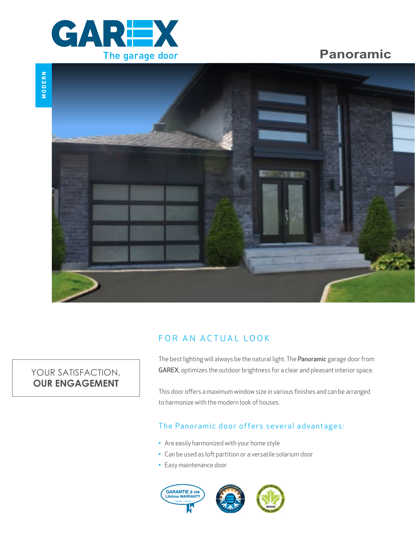

# **Panoramic**



# FOR AN ACTUAL LOOK

# YOUR SATISFACTION, **OUR ENGAGEMENT**

The best lighting will always be the natural light. The Panoramic garage door from GAREX, optimizes the outdoor brightness for a clear and pleasant interior space.

This door offers a maximum window size in various finishes and can be arranged to harmonize with the modern look of houses.

### The Panoramic door offers several advantages:

- Are easily harmonized with your home style
- Can be used as loft partition or a versatile solarium door
- Easy maintenance door